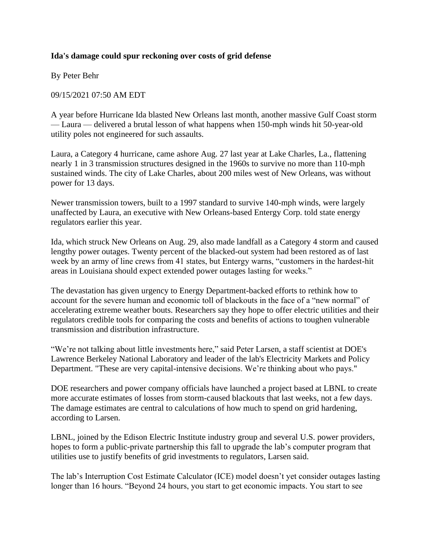## **Ida's damage could spur reckoning over costs of grid defense**

By Peter Behr

09/15/2021 07:50 AM EDT

A year before Hurricane Ida blasted New Orleans last month, another massive Gulf Coast storm — Laura — delivered a brutal lesson of what happens when 150-mph winds hit 50-year-old utility poles not engineered for such assaults.

Laura, a Category 4 hurricane, came ashore Aug. 27 last year at Lake Charles, La., flattening nearly 1 in 3 transmission structures designed in the 1960s to survive no more than 110-mph sustained winds. The city of Lake Charles, about 200 miles west of New Orleans, was without power for 13 days.

Newer transmission towers, built to a 1997 standard to survive 140-mph winds, were largely unaffected by Laura, an executive with New Orleans-based Entergy Corp. told state energy regulators earlier this year.

Ida, which struck New Orleans on Aug. 29, also made landfall as a Category 4 storm and caused lengthy power outages. Twenty percent of the blacked-out system had been restored as of last week by an army of line crews from 41 states, but Entergy warns, "customers in the hardest-hit areas in Louisiana should expect extended power outages lasting for weeks."

The devastation has given urgency to Energy Department-backed efforts to rethink how to account for the severe human and economic toll of blackouts in the face of a "new normal" of accelerating extreme weather bouts. Researchers say they hope to offer electric utilities and their regulators credible tools for comparing the costs and benefits of actions to toughen vulnerable transmission and distribution infrastructure.

"We're not talking about little investments here," said Peter Larsen, a staff scientist at DOE's Lawrence Berkeley National Laboratory and leader of the lab's Electricity Markets and Policy Department. "These are very capital-intensive decisions. We're thinking about who pays."

DOE researchers and power company officials have launched a project based at LBNL to create more accurate estimates of losses from storm-caused blackouts that last weeks, not a few days. The damage estimates are central to calculations of how much to spend on grid hardening, according to Larsen.

LBNL, joined by the Edison Electric Institute industry group and several U.S. power providers, hopes to form a public-private partnership this fall to upgrade the lab's computer program that utilities use to justify benefits of grid investments to regulators, Larsen said.

The lab's Interruption Cost Estimate Calculator (ICE) model doesn't yet consider outages lasting longer than 16 hours. "Beyond 24 hours, you start to get economic impacts. You start to see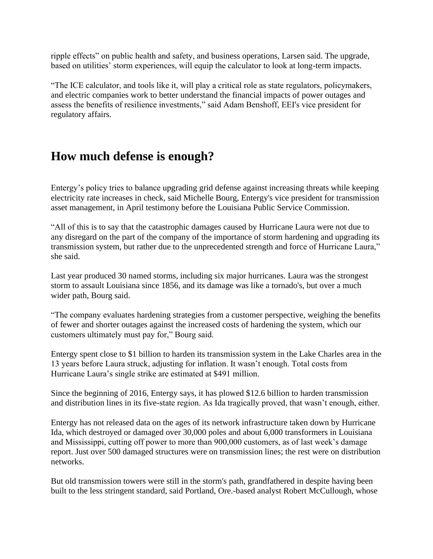ripple effects" on public health and safety, and business operations, Larsen said. The upgrade, based on utilities' storm experiences, will equip the calculator to look at long-term impacts.

"The ICE calculator, and tools like it, will play a critical role as state regulators, policymakers, and electric companies work to better understand the financial impacts of power outages and assess the benefits of resilience investments," said Adam Benshoff, EEI's vice president for regulatory affairs.

## **How much defense is enough?**

Entergy's policy tries to balance upgrading grid defense against increasing threats while keeping electricity rate increases in check, said Michelle Bourg, Entergy's vice president for transmission asset management, in April testimony before the Louisiana Public Service Commission.

"All of this is to say that the catastrophic damages caused by Hurricane Laura were not due to any disregard on the part of the company of the importance of storm hardening and upgrading its transmission system, but rather due to the unprecedented strength and force of Hurricane Laura," she said.

Last year produced 30 named storms, including six major hurricanes. Laura was the strongest storm to assault Louisiana since 1856, and its damage was like a tornado's, but over a much wider path, Bourg said.

"The company evaluates hardening strategies from a customer perspective, weighing the benefits of fewer and shorter outages against the increased costs of hardening the system, which our customers ultimately must pay for," Bourg said.

Entergy spent close to \$1 billion to harden its transmission system in the Lake Charles area in the 13 years before Laura struck, adjusting for inflation. It wasn't enough. Total costs from Hurricane Laura's single strike are estimated at \$491 million.

Since the beginning of 2016, Entergy says, it has plowed \$12.6 billion to harden transmission and distribution lines in its five-state region. As Ida tragically proved, that wasn't enough, either.

Entergy has not released data on the ages of its network infrastructure taken down by Hurricane Ida, which destroyed or damaged over 30,000 poles and about 6,000 transformers in Louisiana and Mississippi, cutting off power to more than 900,000 customers, as of last week's damage report. Just over 500 damaged structures were on transmission lines; the rest were on distribution networks.

But old transmission towers were still in the storm's path, grandfathered in despite having been built to the less stringent standard, said Portland, Ore.-based analyst Robert McCullough, whose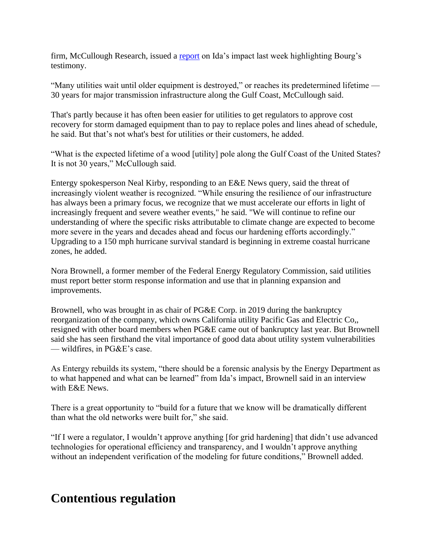firm, McCullough Research, issued a [report](https://www.linkedin.com/pulse/engineeringeconomic-issues-entergys-response-ida-robert-mccullough/?trk=articles_directory&source=email) on Ida's impact last week highlighting Bourg's testimony.

"Many utilities wait until older equipment is destroyed," or reaches its predetermined lifetime — 30 years for major transmission infrastructure along the Gulf Coast, McCullough said.

That's partly because it has often been easier for utilities to get regulators to approve cost recovery for storm damaged equipment than to pay to replace poles and lines ahead of schedule, he said. But that's not what's best for utilities or their customers, he added.

"What is the expected lifetime of a wood [utility] pole along the Gulf Coast of the United States? It is not 30 years," McCullough said.

Entergy spokesperson Neal Kirby, responding to an E&E News query, said the threat of increasingly violent weather is recognized. "While ensuring the resilience of our infrastructure has always been a primary focus, we recognize that we must accelerate our efforts in light of increasingly frequent and severe weather events," he said. "We will continue to refine our understanding of where the specific risks attributable to climate change are expected to become more severe in the years and decades ahead and focus our hardening efforts accordingly." Upgrading to a 150 mph hurricane survival standard is beginning in extreme coastal hurricane zones, he added.

Nora Brownell, a former member of the Federal Energy Regulatory Commission, said utilities must report better storm response information and use that in planning expansion and improvements.

Brownell, who was brought in as chair of PG&E Corp. in 2019 during the bankruptcy reorganization of the company, which owns California utility Pacific Gas and Electric Co,, resigned with other board members when PG&E came out of bankruptcy last year. But Brownell said she has seen firsthand the vital importance of good data about utility system vulnerabilities — wildfires, in PG&E's case.

As Entergy rebuilds its system, "there should be a forensic analysis by the Energy Department as to what happened and what can be learned" from Ida's impact, Brownell said in an interview with E&E News.

There is a great opportunity to "build for a future that we know will be dramatically different than what the old networks were built for," she said.

"If I were a regulator, I wouldn't approve anything [for grid hardening] that didn't use advanced technologies for operational efficiency and transparency, and I wouldn't approve anything without an independent verification of the modeling for future conditions," Brownell added.

## **Contentious regulation**